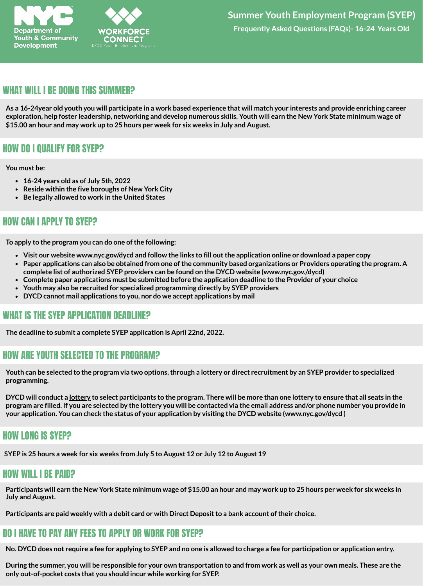

### WHAT WILL I BE DOING THIS SUMMER?

As a 16-24year old youth you will participate in a work based experience that will match your interests and provide enriching career exploration, help foster leadership, networking and develop numerous skills. Youth will earn the New York State minimum wage of **\$15.00 an hour and may work up to 25 hours per week for six weeks in July and August.**

## HOW DO I QUALIFY FOR SYEP?

#### **You must be:**

- **16-24 years old as of July 5th, 2022**
- **Reside within the five boroughs of New York City**
- **Be legally allowed to work in the United States**

# HOW CAN I APPLY TO SYEP?

**To apply to the program you can do one ofthe following:**

- Visit our website www.nyc.gov/dycd and follow the links to fill out the application online or download a paper copy
- Paper applications can also be obtained from one of the community based organizations or Providers operating the program. A **complete list of authorized SYEP providers can be found on the DYCD website (www.nyc.gov./dycd)**
- **Complete paper applications must be submitted before the application deadline to the Provider of your choice**
- **Youth may also be recruited for specialized programming directly by SYEP providers**
- **DYCD cannot mail applications to you, nor do we accept applications by mail**

### WHAT IS THE SYEP APPLICATION DEADLINE?

**The deadline to submit a complete SYEP application is April 22nd, 2022.**

### HOW ARE YOUTH SELECTED TO THE PROGRAM?

Youth can be selected to the program via two options, through a lottery or direct recruitment by an SYEP provider to specialized **programming.**

DYCD will conduct a lottery to select participants to the program. There will be more than one lottery to ensure that all seats in the program are filled. If you are selected by the lottery you will be contacted via the email address and/or phone number you provide in your application. You can check the status of your application by visiting the DYCD website (www.nyc.gov/dycd)

### HOW LONG IS SYEP?

SYEP is 25 hours a week for six weeks from July 5 to August 12 or July 12 to August 19

### HOW WILL I BE PAID?

Participants will earn the New York State minimum wage of \$15.00 an hour and may work up to 25 hours per week for six weeks in **July and August.**

**Participants are paid weekly with a debit card or with Direct Depositto a bank account oftheir choice.**

# DO I HAVE TO PAY ANY FEES TO APPLY OR WORK FOR SYEP?

No. DYCD does not require a fee for applying to SYEP and no one is allowed to charge a fee for participation or application entry.

During the summer, you will be responsible for your own transportation to and from work as well as your own meals. These are the **only out-of-pocket costs that you should incur while working for SYEP.**